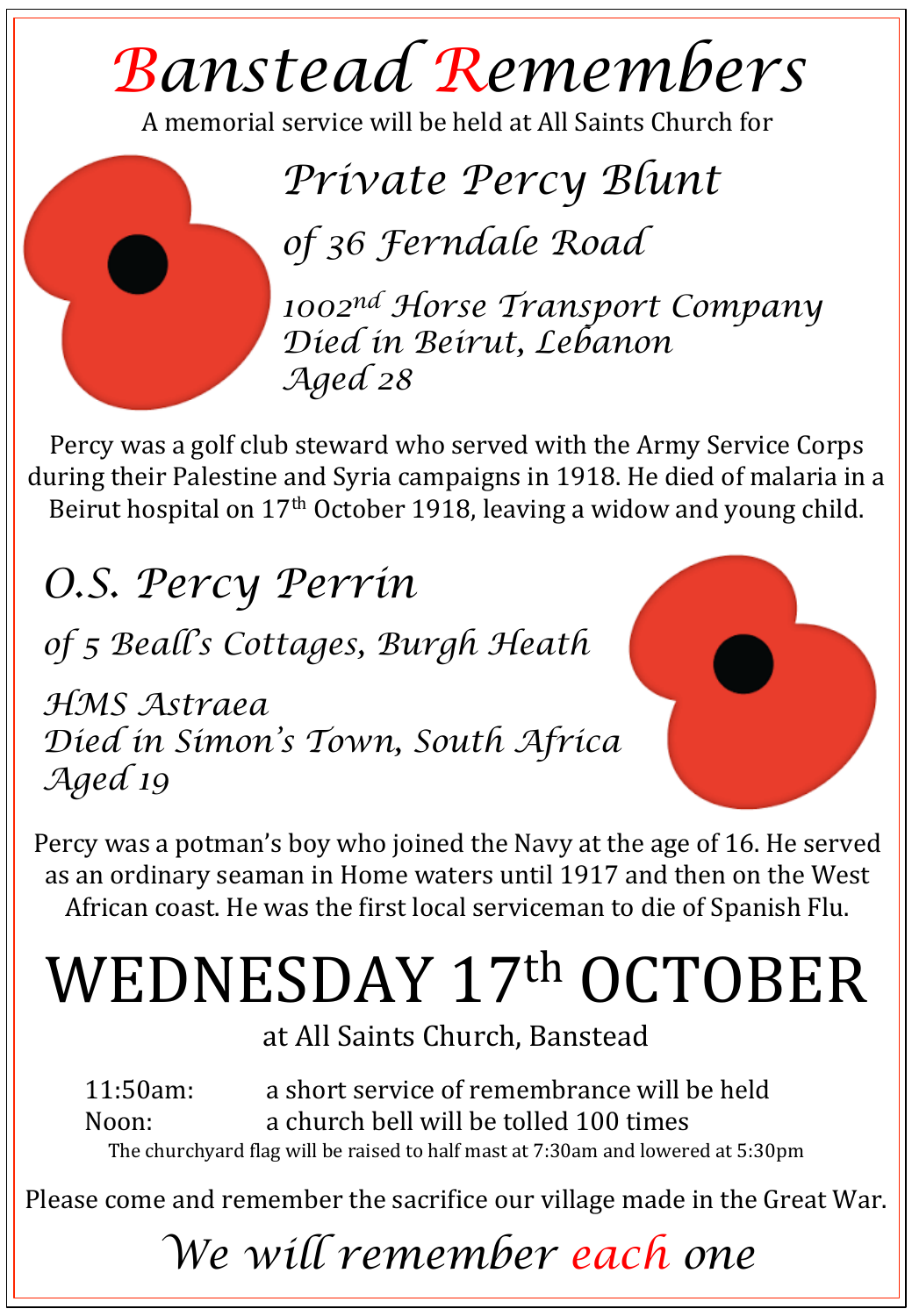# *Banstead Remembers*

A memorial service will be held at All Saints Church for

*Private Percy Blunt* 

*of 36 Ferndale Road* 

*1002nd Horse Transport Company Died in Beirut, Lebanon Aged 28* 

Percy was a golf club steward who served with the Army Service Corps during their Palestine and Syria campaigns in 1918. He died of malaria in a Beirut hospital on  $17<sup>th</sup>$  October 1918, leaving a widow and young child.

### *O.S. Percy Perrin*

*of 5 Beall's Cottages, Burgh Heath* 

*HMS Astraea Died in Simon's Town, South Africa Aged 19*

Percy was a potman's boy who joined the Navy at the age of 16. He served as an ordinary seaman in Home waters until 1917 and then on the West African coast. He was the first local serviceman to die of Spanish Flu.

# WEDNESDAY 17th OCTOBER

at All Saints Church, Banstead

11:50am: a short service of remembrance will be held Noon: a church bell will be tolled 100 times The churchyard flag will be raised to half mast at 7:30am and lowered at 5:30pm

Please come and remember the sacrifice our village made in the Great War.

## *We will remember each one*